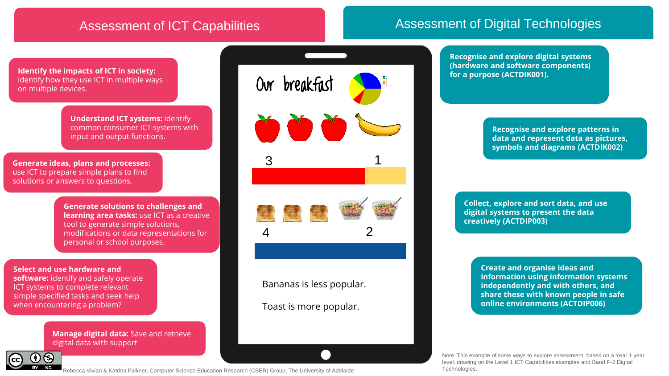# Assessment of ICT Capabilities **Assessment of Digital Technologies**

**Identify the impacts of ICT in society:** identify how they use ICT in multiple ways on multiple devices.

> **Understand ICT systems:** identify common consumer ICT systems with input and output functions.

**Generate ideas, plans and processes:**  use ICT to prepare simple plans to find solutions or answers to questions.

> **Generate solutions to challenges and learning area tasks:** use ICT as a creative tool to generate simple solutions, modifications or data representations for personal or school purposes.

### **Select and use hardware and**

**software:** identify and safely operate ICT systems to complete relevant simple specified tasks and seek help when encountering a problem?

> **Manage digital data:** Save and retrieve digital data with support



Our breakfast  $\bullet \bullet \bullet$ 3 1 2 4

Bananas is less popular.

Toast is more popular.

**Recognise and explore digital systems (hardware and software components) for a purpose (ACTDIK001).**

> **Recognise and explore patterns in data and represent data as pictures, symbols and diagrams (ACTDIK002)**

**Collect, explore and sort data, and use digital systems to present the data creatively (ACTDIP003)**

> **Create and organise ideas and information using information systems independently and with others, and share these with known people in safe online environments (ACTDIP006)**

Note: This example of some ways to explore assessment, based on a Year 1 year level: drawing on the Level 1 ICT Capabilities examples and Band F-2 Digital Technologies.

Rebecca Vivian & Katrina Falkner, Computer Science Education Research (CSER) Group, The University of Adelaide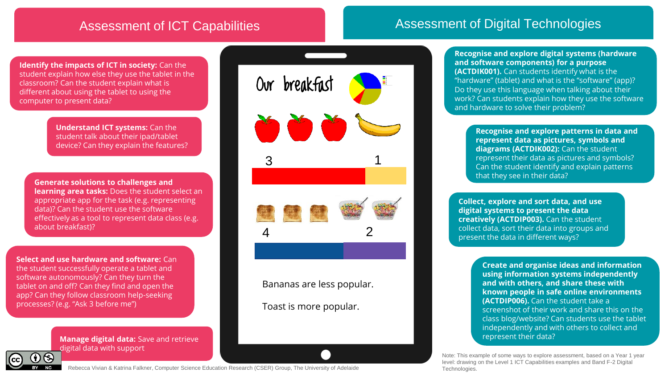# Assessment of ICT Capabilities **Assessment of Digital Technologies**

**Identify the impacts of ICT in society:** Can the student explain how else they use the tablet in the classroom? Can the student explain what is different about using the tablet to using the computer to present data?

> **Understand ICT systems:** Can the student talk about their ipad/tablet device? Can they explain the features?

**Generate solutions to challenges and learning area tasks:** Does the student select an appropriate app for the task (e.g. representing data)? Can the student use the software effectively as a tool to represent data class (e.g. about breakfast)?

**Select and use hardware and software:** Can the student successfully operate a tablet and software autonomously? Can they turn the tablet on and off? Can they find and open the app? Can they follow classroom help-seeking processes? (e.g. "Ask 3 before me")

> **Manage digital data:** Save and retrieve digital data with support



Bananas are less popular.

Toast is more popular.

**Recognise and explore digital systems (hardware and software components) for a purpose (ACTDIK001).** Can students identify what is the "hardware" (tablet) and what is the "software" (app)? Do they use this language when talking about their work? Can students explain how they use the software and hardware to solve their problem?

> **Recognise and explore patterns in data and represent data as pictures, symbols and diagrams (ACTDIK002):** Can the student represent their data as pictures and symbols? Can the student identify and explain patterns that they see in their data?

**Collect, explore and sort data, and use digital systems to present the data creatively (ACTDIP003).** Can the student collect data, sort their data into groups and present the data in different ways?

> **Create and organise ideas and information using information systems independently and with others, and share these with known people in safe online environments (ACTDIP006).** Can the student take a screenshot of their work and share this on the class blog/website? Can students use the tablet independently and with others to collect and represent their data?

Note: This example of some ways to explore assessment, based on a Year 1 year level: drawing on the Level 1 ICT Capabilities examples and Band F-2 Digital Technologies.



Rebecca Vivian & Katrina Falkner, Computer Science Education Research (CSER) Group, The University of Adelaide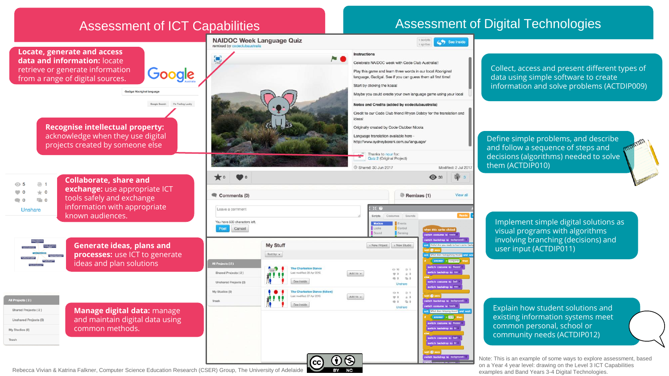

Rebecca Vivian & Katrina Falkner, Computer Science Education Research (CSER) Group, The University of Adelaide **examples and Search Science Advantage Computer Science Education Research (CSER) Group, The University of Adel**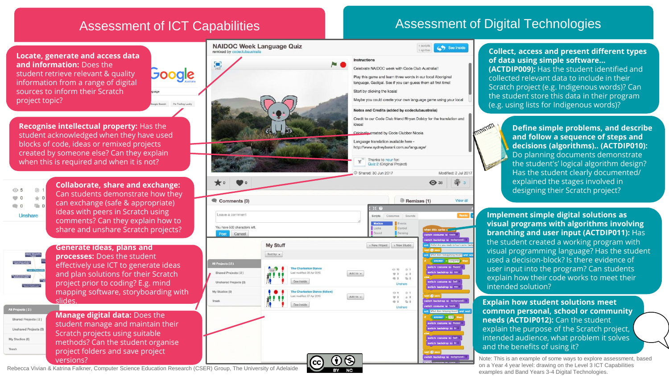**Soogle** 

gle Search Tm Feeling Lucky

### **Locate, generate and access data and information:** Does the student retrieve relevant & quality information from a range of digital sources to inform their Scratch project topic?

**Recognise intellectual property:** Has the student acknowledged when they have used blocks of code, ideas or remixed projects created by someone else? Can they explain when this is required and when it is not?

 $@1$ ⊙ 5  $\bullet$  0  $+0$  $\equiv$  0  $\bullet$  0 Unshare

**Collaborate, share and exchange:** Can students demonstrate how they can exchange (safe & appropriate) ideas with peers in Scratch using comments? Can they explain how to share and unshare Scratch projects?



**Generate ideas, plans and processes:** Does the student effectively use ICT to generate ideas and plan solutions for their Scratch project prior to coding? E.g. mind mapping software, storyboarding with slides.

All Projects (2) Shared Projects (2) Unshared Projects (0) My Studios (0) Trash

**Manage digital data:** Does the student manage and maintain their Scratch projects using suitable methods? Can the student organise project folders and save project versions?





# Assessment of ICT Capabilities **Assessment of Digital Technologies**

**Collect, access and present different types of data using simple software... (ACTDIP009):** Has the student identified and collected relevant data to include in their Scratch project (e.g. Indigenous words)? Can the student store this data in their program (e.g. using lists for Indigenous words)?

> **Define simple problems, and describe and follow a sequence of steps and decisions (algorithms).. (ACTDIP010):**  Do planning documents demonstrate the student's' logical algorithm design? Has the student clearly documented/ explained the stages involved in designing their Scratch project?

**Implement simple digital solutions as visual programs with algorithms involving branching and user input (ACTDIP011):** Has the student created a working program with visual programming language? Has the student used a decision-block? Is there evidence of user input into the program? Can students explain how their code works to meet their intended solution?

**Explain how student solutions meet common personal, school or community needs (ACTDIP012):** Can the student explain the purpose of the Scratch project, intended audience, what problem it solves and the benefits of using it?

Note: This is an example of some ways to explore assessment, based on a Year 4 year level: drawing on the Level 3 ICT Capabilities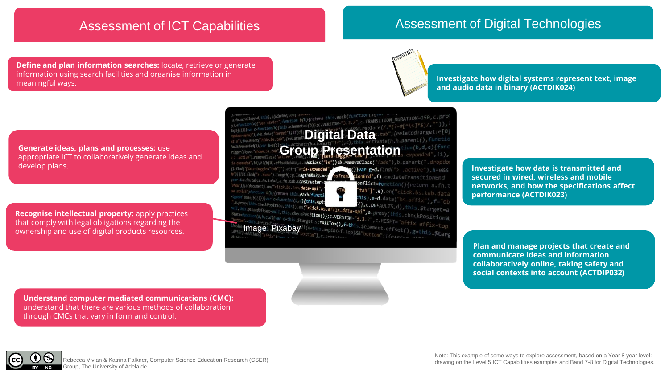### Assessment of ICT Capabilities Assessment of Digital Technologies

**Define and plan information searches:** locate, retrieve or generate information using search facilities and organise information in mormaton using search facilities and organise information in **Investigate how digital systems represent text, image** and the state of the state of the state of the state of the state of the state of the state of the state



**and audio data in binary (ACTDIK024)** 

**Generate ideas, plans and processes:** use appropriate ICT to collaboratively generate ideas and develop plans.

**Recognise intellectual property:** apply practices that comply with legal obligations regarding the ownership and use of digital products resources.

,<br>trict";function b(b){return this.each(function(/iv<br>trict";function b(b){return this.each(function(/iv **Example:** (b)); c.VERSION="3.3.7", c.TRANSITION\_DURATION=150, c.proint<br>
Digital Capacity:  $\frac{1}{2}$  (b)); c.VERSION="3.3.7", c.TRANSITION\_DURATION=150, c.proint<br>
Transfer (pelatedTarget: e[0]<br>
tab',(relatedTarget: e[0] **Group Presentation** (e),h?(b[e].offsetWidth,b.addClass("in")):b.removeClass("fade"),b.parent(".dropdo data-toggle="tab"]').attr("ar**ia-expande** ?()}var g=d.find("> .active"), h=e&& e")||!!d.find("> .fade").length);g.length&&h?g.one tionEnd", f).emulateTransitionEnd ar d=a.fn.tab;a.fn.tab=b,a.fn.tab.Constructor= onflict=function(){return a.fn.t a(document).on("click.bs.tab.data-api" "tab"]',e).on("click.bs.tab.data function b(b){return this.**each(funct** this),  $e=d.data("bs.affix")$ ,  $f="ob$ ()))) yar c=function(b,d){this.opt erty, fraction (b, d){this.opt<br>
His checkPosition, this).on("click.bs.affix.data-api", a.proxy(this,d),this.\$target=a<br>
dimed0ffset=mull,this.checkPosition()}c.DEFAULTS,d),this.\$target=a<br>
time(a,b,cd){var e=this.\$target=ayi

Is.pinnedOffsetenull,this.checkPos**ition()};c.VERSION="3.**3.7",C.RESET="affix affix-top<br>concion(a,b,c,d){var e=this.\$target.s**crollTop(),f=t**his.\$element.offset(),g=this.\$targ<br>"=this.affixed\estymn.plid"/{e+this.unpinc=f.t

**Investigate how data is transmitted and secured in wired, wireless and mobile networks, and how the specifications affect performance (ACTDIK023)** 

**Plan and manage projects that create and communicate ideas and information collaboratively online, taking safety and social contexts into account (ACTDIP032)**

**Understand computer mediated communications (CMC):** understand that there are various methods of collaboration through CMCs that vary in form and control.



Group, The University of Adelaide

Note: This example of some ways to explore assessment, based on a Year 8 year level: drawing on the Level 5 ICT Capabilities examples and Band 7-8 for Digital Technologies. Rebecca Vivian & Katrina Falkner, Cubi 1999 with the Level 5 ICT Capabilities examples and Band 7-8 for Digital Technologies.